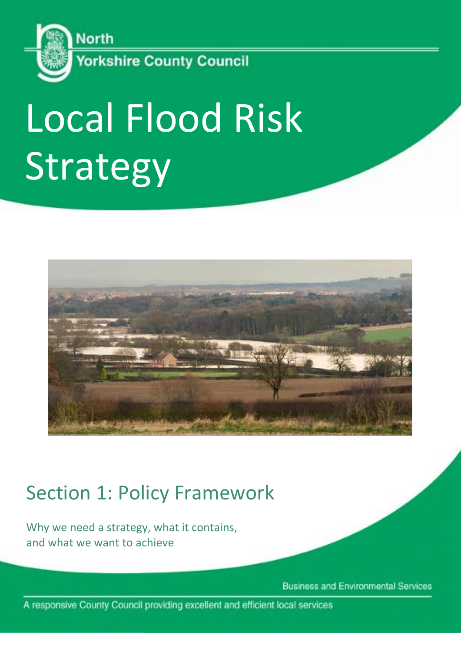

# Local Flood Risk Strategy



# Section 1: Policy Framework

Why we need a strategy, what it contains, and what we want to achieve

**Business and Environmental Services** 

A responsive County Council providing excellent and efficient local services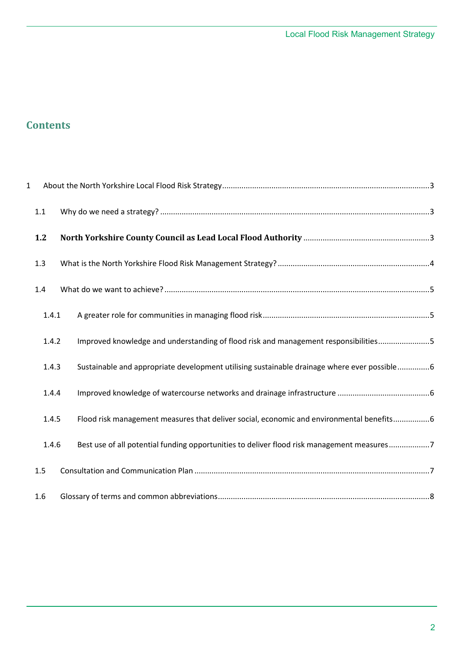# **Contents**

| $\mathbf{1}$ |       |                                                                                             |  |
|--------------|-------|---------------------------------------------------------------------------------------------|--|
|              | 1.1   |                                                                                             |  |
|              | 1.2   |                                                                                             |  |
|              | 1.3   |                                                                                             |  |
|              | 1.4   |                                                                                             |  |
|              | 1.4.1 |                                                                                             |  |
|              | 1.4.2 | Improved knowledge and understanding of flood risk and management responsibilities5         |  |
|              | 1.4.3 | Sustainable and appropriate development utilising sustainable drainage where ever possible6 |  |
|              | 1.4.4 |                                                                                             |  |
|              | 1.4.5 | Flood risk management measures that deliver social, economic and environmental benefits6    |  |
|              | 1.4.6 | Best use of all potential funding opportunities to deliver flood risk management measures7  |  |
|              | 1.5   |                                                                                             |  |
|              | 1.6   |                                                                                             |  |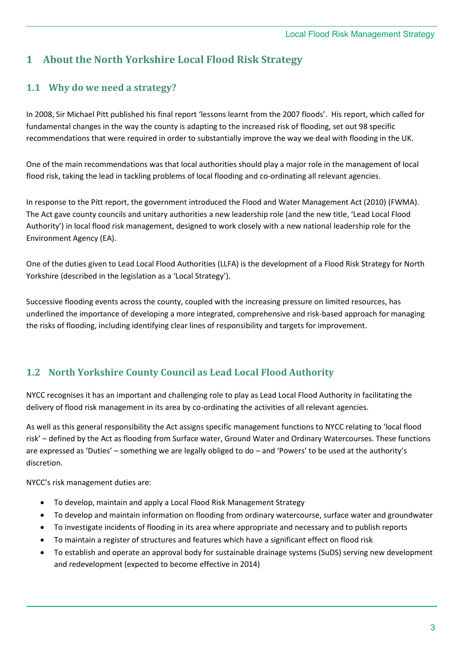# <span id="page-2-0"></span>**1 About the North Yorkshire Local Flood Risk Strategy**

## <span id="page-2-1"></span>**1.1 Why do we need a strategy?**

In 2008, Sir Michael Pitt published his final report 'lessons learnt from the 2007 floods'. His report, which called for fundamental changes in the way the county is adapting to the increased risk of flooding, set out 98 specific recommendations that were required in order to substantially improve the way we deal with flooding in the UK.

One of the main recommendations was that local authorities should play a major role in the management of local flood risk, taking the lead in tackling problems of local flooding and co-ordinating all relevant agencies.

In response to the Pitt report, the government introduced the Flood and Water Management Act (2010) (FWMA). The Act gave county councils and unitary authorities a new leadership role (and the new title, 'Lead Local Flood Authority') in local flood risk management, designed to work closely with a new national leadership role for the Environment Agency (EA).

One of the duties given to Lead Local Flood Authorities (LLFA) is the development of a Flood Risk Strategy for North Yorkshire (described in the legislation as a 'Local Strategy').

Successive flooding events across the county, coupled with the increasing pressure on limited resources, has underlined the importance of developing a more integrated, comprehensive and risk-based approach for managing the risks of flooding, including identifying clear lines of responsibility and targets for improvement.

### <span id="page-2-2"></span>**1.2 North Yorkshire County Council as Lead Local Flood Authority**

NYCC recognises it has an important and challenging role to play as Lead Local Flood Authority in facilitating the delivery of flood risk management in its area by co-ordinating the activities of all relevant agencies.

As well as this general responsibility the Act assigns specific management functions to NYCC relating to 'local flood risk' – defined by the Act as flooding from Surface water, Ground Water and Ordinary Watercourses. These functions are expressed as 'Duties' – something we are legally obliged to do – and 'Powers' to be used at the authority's discretion.

NYCC's risk management duties are:

- To develop, maintain and apply a Local Flood Risk Management Strategy
- To develop and maintain information on flooding from ordinary watercourse, surface water and groundwater
- To investigate incidents of flooding in its area where appropriate and necessary and to publish reports
- To maintain a register of structures and features which have a significant effect on flood risk
- To establish and operate an approval body for sustainable drainage systems (SuDS) serving new development and redevelopment (expected to become effective in 2014)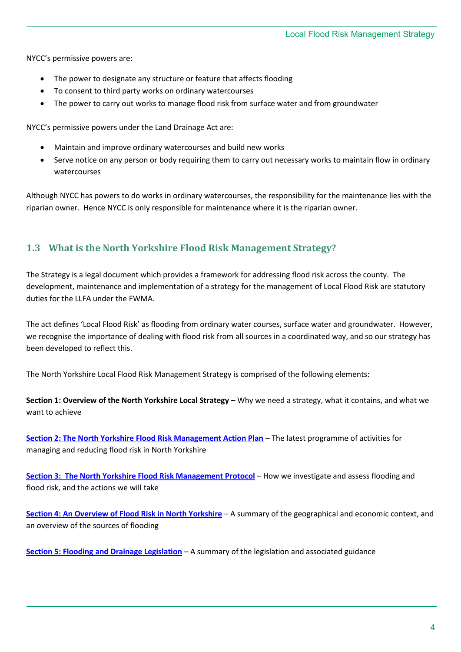NYCC's permissive powers are:

- The power to designate any structure or feature that affects flooding
- To consent to third party works on ordinary watercourses
- The power to carry out works to manage flood risk from surface water and from groundwater

NYCC's permissive powers under the Land Drainage Act are:

- Maintain and improve ordinary watercourses and build new works
- Serve notice on any person or body requiring them to carry out necessary works to maintain flow in ordinary watercourses

Although NYCC has powers to do works in ordinary watercourses, the responsibility for the maintenance lies with the riparian owner. Hence NYCC is only responsible for maintenance where it is the riparian owner.

#### <span id="page-3-0"></span>**1.3 What is the North Yorkshire Flood Risk Management Strategy?**

The Strategy is a legal document which provides a framework for addressing flood risk across the county. The development, maintenance and implementation of a strategy for the management of Local Flood Risk are statutory duties for the LLFA under the FWMA.

The act defines 'Local Flood Risk' as flooding from ordinary water courses, surface water and groundwater. However, we recognise the importance of dealing with flood risk from all sources in a coordinated way, and so our strategy has been developed to reflect this.

The North Yorkshire Local Flood Risk Management Strategy is comprised of the following elements:

**Section 1: Overview of the North Yorkshire Local Strategy** – Why we need a strategy, what it contains, and what we want to achieve

**[Section 2: The North Yorkshire Flood Risk Management Action Plan](Local%20Strategy%20Section%202%20-%20Action%20Plan.docx)** – The latest programme of activities for managing and reducing flood risk in North Yorkshire

**[Section 3: The North Yorkshire Flood Risk Management Protocol](Local%20Strategy%20Section%203%20-%20Reviewing%20Flooding%20incidents%20and%20concerns.docx)** – How we investigate and assess flooding and flood risk, and the actions we will take

**[Section 4: An Overview of Flood Risk in North Yorkshire](Local%20Strategy%20Section%204%20-%20Flooding%20in%20North%20Yorkshire.docx)** – A summary of the geographical and economic context, and an overview of the sources of flooding

**[Section 5: Flooding and Drainage Legislation](Local%20Strategy%20Section%205%20-%20Flooding%20&%20Drainage%20Legislation.docx)** – A summary of the legislation and associated guidance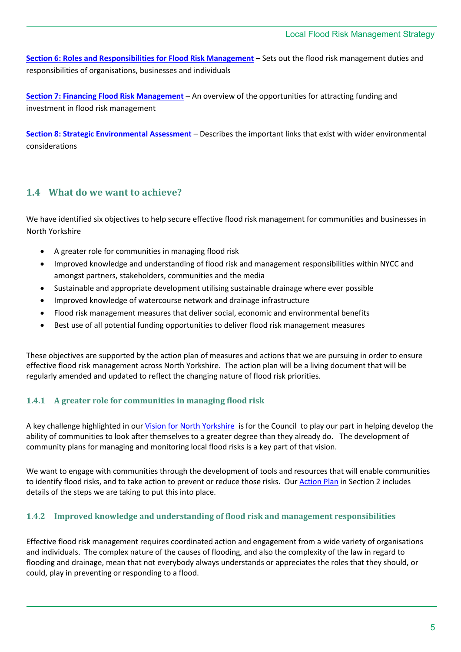**[Section 6: Roles and Responsibilities for Flood Risk Management](Local%20Strategy%20Section%206%20-%20Who%20does%20what.docx)** – Sets out the flood risk management duties and responsibilities of organisations, businesses and individuals

**[Section 7: Financing Flood Risk Management](Local%20Strategy%20Section%207%20-%20Financing%20the%20Strategy.docx)** – An overview of the opportunities for attracting funding and investment in flood risk management

**[Section 8: Strategic Environmental Assessment](Local%20Strategy%20Section%208%20-%20SEA.docx)** – Describes the important links that exist with wider environmental considerations

#### <span id="page-4-0"></span>**1.4 What do we want to achieve?**

We have identified six objectives to help secure effective flood risk management for communities and businesses in North Yorkshire

- A greater role for communities in managing flood risk
- Improved knowledge and understanding of flood risk and management responsibilities within NYCC and amongst partners, stakeholders, communities and the media
- Sustainable and appropriate development utilising sustainable drainage where ever possible
- Improved knowledge of watercourse network and drainage infrastructure
- Flood risk management measures that deliver social, economic and environmental benefits
- Best use of all potential funding opportunities to deliver flood risk management measures

These objectives are supported by the action plan of measures and actions that we are pursuing in order to ensure effective flood risk management across North Yorkshire. The action plan will be a living document that will be regularly amended and updated to reflect the changing nature of flood risk priorities.

#### <span id="page-4-1"></span>**1.4.1 A greater role for communities in managing flood risk**

A key challenge highlighted in our Vision for North Yorkshire is for the Council to play our part in helping develop the ability of communities to look after themselves to a greater degree than they already do. The development of community plans for managing and monitoring local flood risks is a key part of that vision.

We want to engage with communities through the development of tools and resources that will enable communities to identify flood risks, and to take action to prevent or reduce those risks. Our **Action Plan in Section 2 includes** details of the steps we are taking to put this into place.

#### <span id="page-4-2"></span>**1.4.2 Improved knowledge and understanding of flood risk and management responsibilities**

Effective flood risk management requires coordinated action and engagement from a wide variety of organisations and individuals. The complex nature of the causes of flooding, and also the complexity of the law in regard to flooding and drainage, mean that not everybody always understands or appreciates the roles that they should, or could, play in preventing or responding to a flood.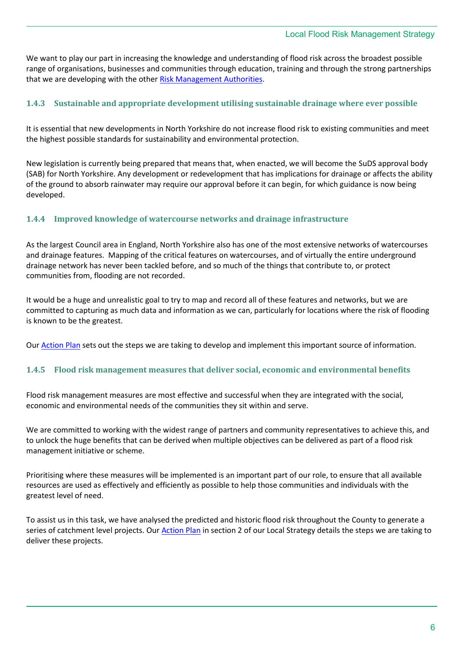We want to play our part in increasing the knowledge and understanding of flood risk across the broadest possible range of organisations, businesses and communities through education, training and through the strong partnerships that we are developing with the other [Risk Management Authorities.](Local%20Strategy%20Section%206%20-%20Who%20does%20what.docx)

#### <span id="page-5-0"></span>**1.4.3 Sustainable and appropriate development utilising sustainable drainage where ever possible**

It is essential that new developments in North Yorkshire do not increase flood risk to existing communities and meet the highest possible standards for sustainability and environmental protection.

New legislation is currently being prepared that means that, when enacted, we will become the SuDS approval body (SAB) for North Yorkshire. Any development or redevelopment that has implications for drainage or affects the ability of the ground to absorb rainwater may require our approval before it can begin, for which guidance is now being developed.

#### <span id="page-5-1"></span>**1.4.4 Improved knowledge of watercourse networks and drainage infrastructure**

As the largest Council area in England, North Yorkshire also has one of the most extensive networks of watercourses and drainage features. Mapping of the critical features on watercourses, and of virtually the entire underground drainage network has never been tackled before, and so much of the things that contribute to, or protect communities from, flooding are not recorded.

It would be a huge and unrealistic goal to try to map and record all of these features and networks, but we are committed to capturing as much data and information as we can, particularly for locations where the risk of flooding is known to be the greatest.

Our [Action Plan](Local%20Strategy%20Section%202%20-%20Action%20Plan.docx) sets out the steps we are taking to develop and implement this important source of information.

#### <span id="page-5-2"></span>**1.4.5 Flood risk management measures that deliver social, economic and environmental benefits**

Flood risk management measures are most effective and successful when they are integrated with the social, economic and environmental needs of the communities they sit within and serve.

We are committed to working with the widest range of partners and community representatives to achieve this, and to unlock the huge benefits that can be derived when multiple objectives can be delivered as part of a flood risk management initiative or scheme.

Prioritising where these measures will be implemented is an important part of our role, to ensure that all available resources are used as effectively and efficiently as possible to help those communities and individuals with the greatest level of need.

To assist us in this task, we have analysed the predicted and historic flood risk throughout the County to generate a series of catchment level projects. Ou[r Action Plan](Local%20Strategy%20Section%202%20-%20Action%20Plan.docx) in section 2 of our Local Strategy details the steps we are taking to deliver these projects.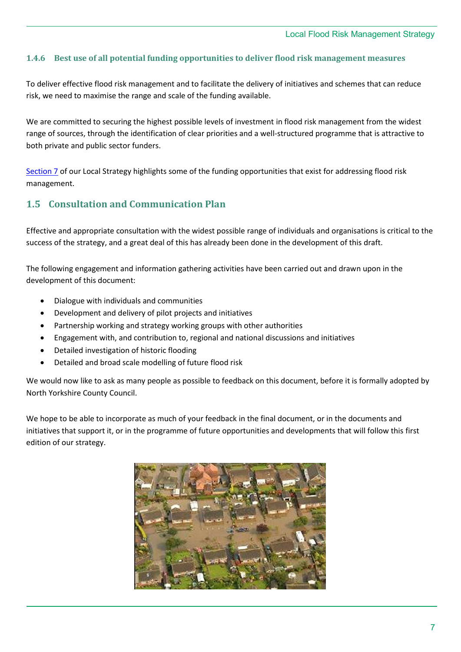#### <span id="page-6-0"></span>**1.4.6 Best use of all potential funding opportunities to deliver flood risk management measures**

To deliver effective flood risk management and to facilitate the delivery of initiatives and schemes that can reduce risk, we need to maximise the range and scale of the funding available.

We are committed to securing the highest possible levels of investment in flood risk management from the widest range of sources, through the identification of clear priorities and a well-structured programme that is attractive to both private and public sector funders.

[Section 7](Local%20Strategy%20Section%207%20-%20Financing%20the%20Strategy.docx) of our Local Strategy highlights some of the funding opportunities that exist for addressing flood risk management.

#### <span id="page-6-1"></span>**1.5 Consultation and Communication Plan**

Effective and appropriate consultation with the widest possible range of individuals and organisations is critical to the success of the strategy, and a great deal of this has already been done in the development of this draft.

The following engagement and information gathering activities have been carried out and drawn upon in the development of this document:

- Dialogue with individuals and communities
- Development and delivery of pilot projects and initiatives
- Partnership working and strategy working groups with other authorities
- Engagement with, and contribution to, regional and national discussions and initiatives
- Detailed investigation of historic flooding
- Detailed and broad scale modelling of future flood risk

We would now like to ask as many people as possible to feedback on this document, before it is formally adopted by North Yorkshire County Council.

We hope to be able to incorporate as much of your feedback in the final document, or in the documents and initiatives that support it, or in the programme of future opportunities and developments that will follow this first edition of our strategy.

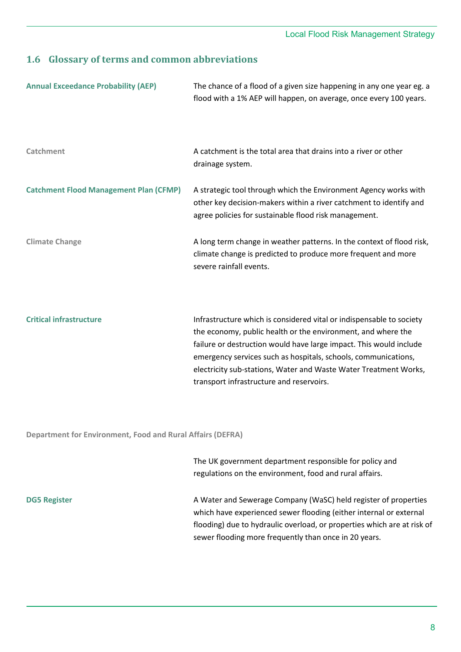# <span id="page-7-0"></span>**1.6 Glossary of terms and common abbreviations**

| <b>Annual Exceedance Probability (AEP)</b>                        | The chance of a flood of a given size happening in any one year eg. a<br>flood with a 1% AEP will happen, on average, once every 100 years.                                                                                                                                                                                                                                                  |  |
|-------------------------------------------------------------------|----------------------------------------------------------------------------------------------------------------------------------------------------------------------------------------------------------------------------------------------------------------------------------------------------------------------------------------------------------------------------------------------|--|
| <b>Catchment</b>                                                  | A catchment is the total area that drains into a river or other<br>drainage system.                                                                                                                                                                                                                                                                                                          |  |
| <b>Catchment Flood Management Plan (CFMP)</b>                     | A strategic tool through which the Environment Agency works with<br>other key decision-makers within a river catchment to identify and<br>agree policies for sustainable flood risk management.                                                                                                                                                                                              |  |
| <b>Climate Change</b>                                             | A long term change in weather patterns. In the context of flood risk,<br>climate change is predicted to produce more frequent and more<br>severe rainfall events.                                                                                                                                                                                                                            |  |
| <b>Critical infrastructure</b>                                    | Infrastructure which is considered vital or indispensable to society<br>the economy, public health or the environment, and where the<br>failure or destruction would have large impact. This would include<br>emergency services such as hospitals, schools, communications,<br>electricity sub-stations, Water and Waste Water Treatment Works,<br>transport infrastructure and reservoirs. |  |
| <b>Department for Environment, Food and Rural Affairs (DEFRA)</b> |                                                                                                                                                                                                                                                                                                                                                                                              |  |
|                                                                   | The UK government department responsible for policy and<br>regulations on the environment, food and rural affairs.                                                                                                                                                                                                                                                                           |  |
| <b>DG5 Register</b>                                               | A Water and Sewerage Company (WaSC) held register of properties<br>which have experienced sewer flooding (either internal or external                                                                                                                                                                                                                                                        |  |

flooding) due to hydraulic overload, or properties which are at risk of

sewer flooding more frequently than once in 20 years.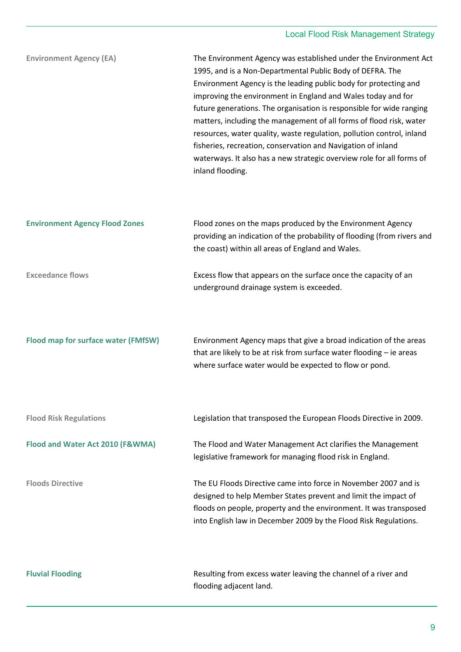# Local Flood Risk Management Strategy

| <b>Environment Agency (EA)</b>        | The Environment Agency was established under the Environment Act<br>1995, and is a Non-Departmental Public Body of DEFRA. The<br>Environment Agency is the leading public body for protecting and<br>improving the environment in England and Wales today and for<br>future generations. The organisation is responsible for wide ranging<br>matters, including the management of all forms of flood risk, water<br>resources, water quality, waste regulation, pollution control, inland<br>fisheries, recreation, conservation and Navigation of inland<br>waterways. It also has a new strategic overview role for all forms of<br>inland flooding. |
|---------------------------------------|--------------------------------------------------------------------------------------------------------------------------------------------------------------------------------------------------------------------------------------------------------------------------------------------------------------------------------------------------------------------------------------------------------------------------------------------------------------------------------------------------------------------------------------------------------------------------------------------------------------------------------------------------------|
| <b>Environment Agency Flood Zones</b> | Flood zones on the maps produced by the Environment Agency<br>providing an indication of the probability of flooding (from rivers and<br>the coast) within all areas of England and Wales.                                                                                                                                                                                                                                                                                                                                                                                                                                                             |
| <b>Exceedance flows</b>               | Excess flow that appears on the surface once the capacity of an<br>underground drainage system is exceeded.                                                                                                                                                                                                                                                                                                                                                                                                                                                                                                                                            |
| Flood map for surface water (FMfSW)   | Environment Agency maps that give a broad indication of the areas<br>that are likely to be at risk from surface water flooding - ie areas<br>where surface water would be expected to flow or pond.                                                                                                                                                                                                                                                                                                                                                                                                                                                    |
| <b>Flood Risk Regulations</b>         | Legislation that transposed the European Floods Directive in 2009.                                                                                                                                                                                                                                                                                                                                                                                                                                                                                                                                                                                     |
| Flood and Water Act 2010 (F&WMA)      | The Flood and Water Management Act clarifies the Management<br>legislative framework for managing flood risk in England.                                                                                                                                                                                                                                                                                                                                                                                                                                                                                                                               |
| <b>Floods Directive</b>               | The EU Floods Directive came into force in November 2007 and is<br>designed to help Member States prevent and limit the impact of<br>floods on people, property and the environment. It was transposed<br>into English law in December 2009 by the Flood Risk Regulations.                                                                                                                                                                                                                                                                                                                                                                             |
| <b>Fluvial Flooding</b>               | Resulting from excess water leaving the channel of a river and<br>flooding adjacent land.                                                                                                                                                                                                                                                                                                                                                                                                                                                                                                                                                              |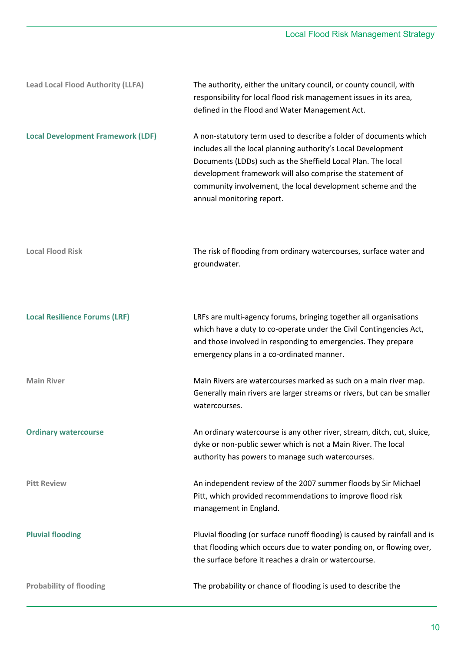| <b>Lead Local Flood Authority (LLFA)</b> | The authority, either the unitary council, or county council, with<br>responsibility for local flood risk management issues in its area,<br>defined in the Flood and Water Management Act.                                                                                                                                                                  |  |  |
|------------------------------------------|-------------------------------------------------------------------------------------------------------------------------------------------------------------------------------------------------------------------------------------------------------------------------------------------------------------------------------------------------------------|--|--|
| <b>Local Development Framework (LDF)</b> | A non-statutory term used to describe a folder of documents which<br>includes all the local planning authority's Local Development<br>Documents (LDDs) such as the Sheffield Local Plan. The local<br>development framework will also comprise the statement of<br>community involvement, the local development scheme and the<br>annual monitoring report. |  |  |
| <b>Local Flood Risk</b>                  | The risk of flooding from ordinary watercourses, surface water and<br>groundwater.                                                                                                                                                                                                                                                                          |  |  |
| <b>Local Resilience Forums (LRF)</b>     | LRFs are multi-agency forums, bringing together all organisations<br>which have a duty to co-operate under the Civil Contingencies Act,<br>and those involved in responding to emergencies. They prepare<br>emergency plans in a co-ordinated manner.                                                                                                       |  |  |
| <b>Main River</b>                        | Main Rivers are watercourses marked as such on a main river map.<br>Generally main rivers are larger streams or rivers, but can be smaller<br>watercourses.                                                                                                                                                                                                 |  |  |
| <b>Ordinary watercourse</b>              | An ordinary watercourse is any other river, stream, ditch, cut, sluice,<br>dyke or non-public sewer which is not a Main River. The local<br>authority has powers to manage such watercourses.                                                                                                                                                               |  |  |
| <b>Pitt Review</b>                       | An independent review of the 2007 summer floods by Sir Michael<br>Pitt, which provided recommendations to improve flood risk<br>management in England.                                                                                                                                                                                                      |  |  |
| <b>Pluvial flooding</b>                  | Pluvial flooding (or surface runoff flooding) is caused by rainfall and is<br>that flooding which occurs due to water ponding on, or flowing over,<br>the surface before it reaches a drain or watercourse.                                                                                                                                                 |  |  |
| <b>Probability of flooding</b>           | The probability or chance of flooding is used to describe the                                                                                                                                                                                                                                                                                               |  |  |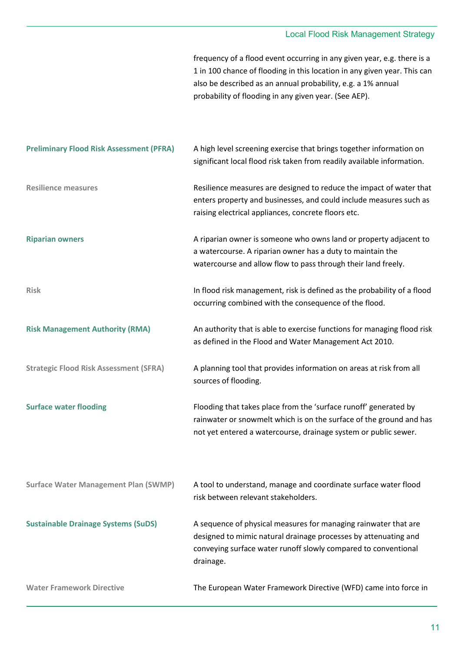#### Local Flood Risk Management Strategy

frequency of a flood event occurring in any given year, e.g. there is a 1 in 100 chance of flooding in this location in any given year. This can also be described as an annual probability, e.g. a 1% annual probability of flooding in any given year. (See AEP).

| <b>Preliminary Flood Risk Assessment (PFRA)</b> | A high level screening exercise that brings together information on<br>significant local flood risk taken from readily available information.                                                                     |
|-------------------------------------------------|-------------------------------------------------------------------------------------------------------------------------------------------------------------------------------------------------------------------|
| <b>Resilience measures</b>                      | Resilience measures are designed to reduce the impact of water that<br>enters property and businesses, and could include measures such as<br>raising electrical appliances, concrete floors etc.                  |
| <b>Riparian owners</b>                          | A riparian owner is someone who owns land or property adjacent to<br>a watercourse. A riparian owner has a duty to maintain the<br>watercourse and allow flow to pass through their land freely.                  |
| <b>Risk</b>                                     | In flood risk management, risk is defined as the probability of a flood<br>occurring combined with the consequence of the flood.                                                                                  |
| <b>Risk Management Authority (RMA)</b>          | An authority that is able to exercise functions for managing flood risk<br>as defined in the Flood and Water Management Act 2010.                                                                                 |
| <b>Strategic Flood Risk Assessment (SFRA)</b>   | A planning tool that provides information on areas at risk from all<br>sources of flooding.                                                                                                                       |
| <b>Surface water flooding</b>                   | Flooding that takes place from the 'surface runoff' generated by<br>rainwater or snowmelt which is on the surface of the ground and has<br>not yet entered a watercourse, drainage system or public sewer.        |
| <b>Surface Water Management Plan (SWMP)</b>     | A tool to understand, manage and coordinate surface water flood<br>risk between relevant stakeholders.                                                                                                            |
| <b>Sustainable Drainage Systems (SuDS)</b>      | A sequence of physical measures for managing rainwater that are<br>designed to mimic natural drainage processes by attenuating and<br>conveying surface water runoff slowly compared to conventional<br>drainage. |
| <b>Water Framework Directive</b>                | The European Water Framework Directive (WFD) came into force in                                                                                                                                                   |